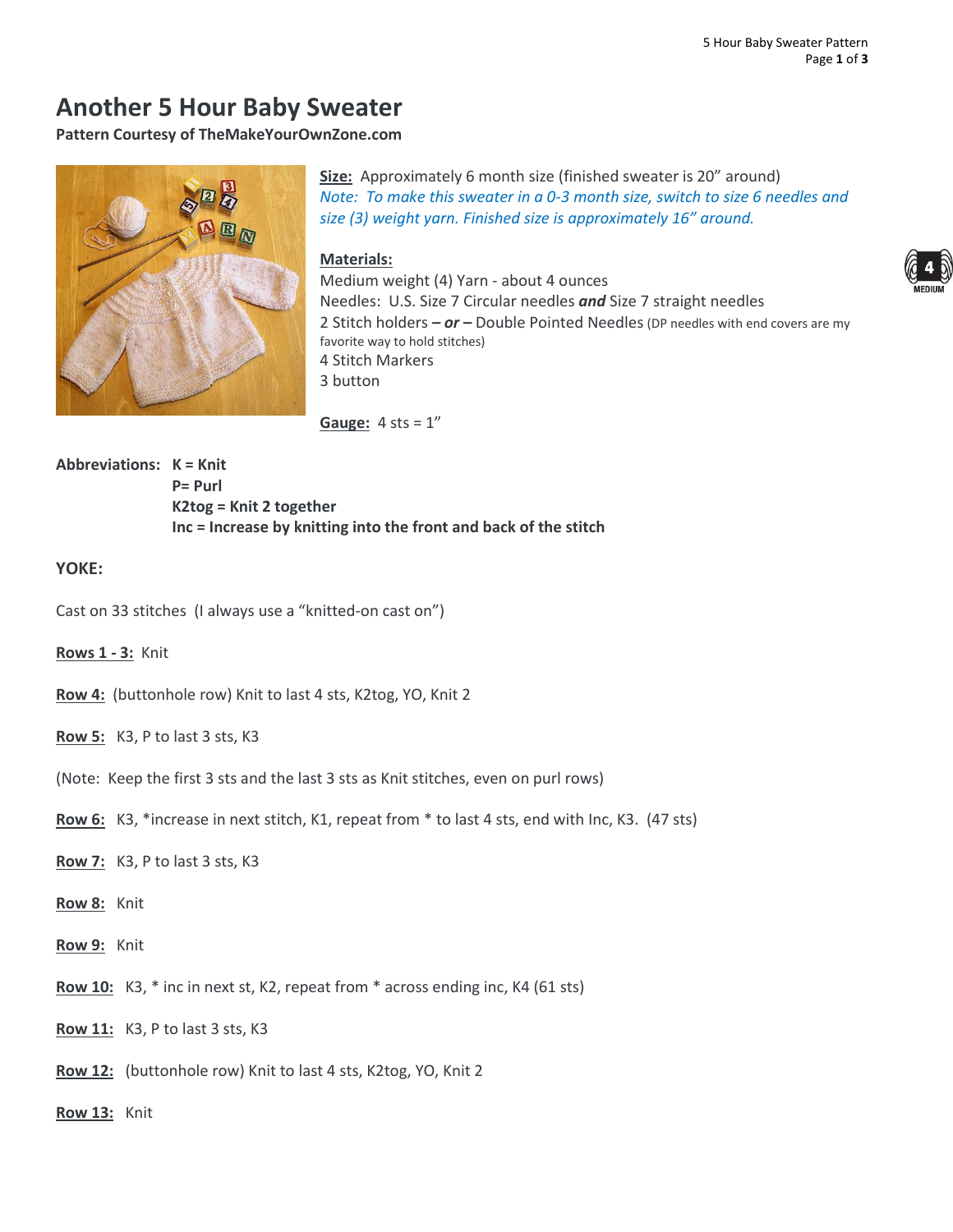# **Another 5 Hour Baby Sweater**

**Pattern Courtesy of TheMakeYourOwnZone.com**



**Size:** Approximately 6 month size (finished sweater is 20" around) *Note: To make this sweater in a 0-3 month size, switch to size 6 needles and size (3) weight yarn. Finished size is approximately 16" around.*

### **Materials:**



Medium weight (4) Yarn - about 4 ounces Needles: U.S. Size 7 Circular needles *and* Size 7 straight needles 2 Stitch holders *– or –* Double Pointed Needles (DP needles with end covers are my favorite way to hold stitches) 4 Stitch Markers 3 button

**Gauge:** 4 sts = 1"

**Abbreviations: K = Knit P= Purl K2tog = Knit 2 together Inc = Increase by knitting into the front and back of the stitch**

## **YOKE:**

- Cast on 33 stitches (I always use a "knitted-on cast on")
- **Rows 1 - 3:** Knit
- **Row 4:** (buttonhole row) Knit to last 4 sts, K2tog, YO, Knit 2
- **Row 5:** K3, P to last 3 sts, K3
- (Note: Keep the first 3 sts and the last 3 sts as Knit stitches, even on purl rows)
- **Row 6:** K3, \*increase in next stitch, K1, repeat from \* to last 4 sts, end with Inc, K3. (47 sts)
- **Row 7:** K3, P to last 3 sts, K3
- **Row 8:** Knit
- **Row 9:** Knit
- **Row 10:** K3, \* inc in next st, K2, repeat from \* across ending inc, K4 (61 sts)
- **Row 11:** K3, P to last 3 sts, K3
- **Row 12:** (buttonhole row) Knit to last 4 sts, K2tog, YO, Knit 2
- **Row 13:** Knit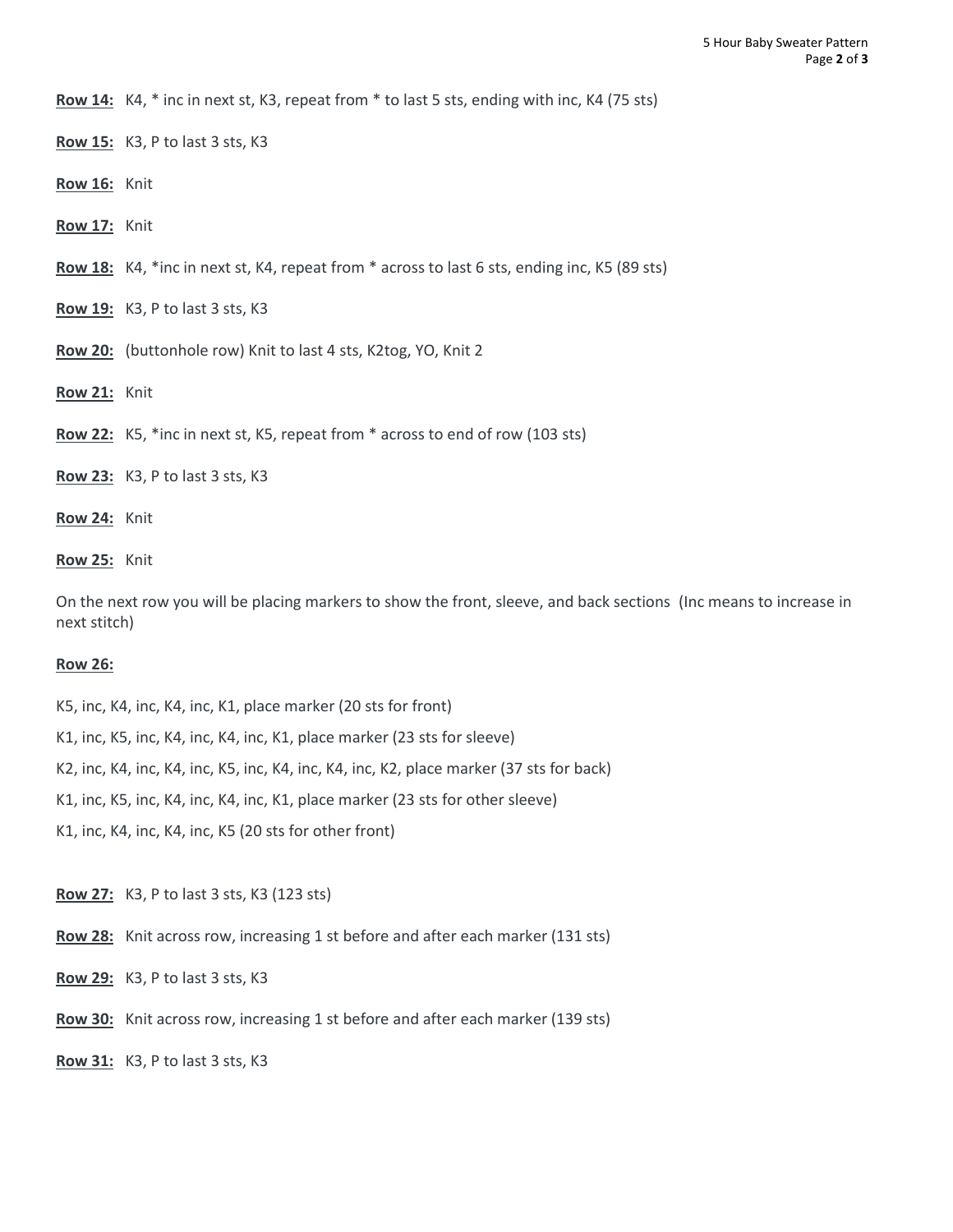**Row 14:** K4, \* inc in next st, K3, repeat from \* to last 5 sts, ending with inc, K4 (75 sts)

- **Row 15:** K3, P to last 3 sts, K3
- **Row 16:** Knit
- **Row 17:** Knit
- **Row 18:** K4, \*inc in next st, K4, repeat from \* across to last 6 sts, ending inc, K5 (89 sts)
- **Row 19:** K3, P to last 3 sts, K3
- **Row 20:** (buttonhole row) Knit to last 4 sts, K2tog, YO, Knit 2
- **Row 21:** Knit
- **Row 22:** K5, \*inc in next st, K5, repeat from \* across to end of row (103 sts)
- **Row 23:** K3, P to last 3 sts, K3
- **Row 24:** Knit
- **Row 25:** Knit

On the next row you will be placing markers to show the front, sleeve, and back sections (Inc means to increase in next stitch)

#### **Row 26:**

- K5, inc, K4, inc, K4, inc, K1, place marker (20 sts for front)
- K1, inc, K5, inc, K4, inc, K4, inc, K1, place marker (23 sts for sleeve)
- K2, inc, K4, inc, K4, inc, K5, inc, K4, inc, K4, inc, K2, place marker (37 sts for back)
- K1, inc, K5, inc, K4, inc, K4, inc, K1, place marker (23 sts for other sleeve)
- K1, inc, K4, inc, K4, inc, K5 (20 sts for other front)

**Row 27:** K3, P to last 3 sts, K3 (123 sts)

- **Row 28:** Knit across row, increasing 1 st before and after each marker (131 sts)
- **Row 29:** K3, P to last 3 sts, K3
- **Row 30:** Knit across row, increasing 1 st before and after each marker (139 sts)

**Row 31:** K3, P to last 3 sts, K3